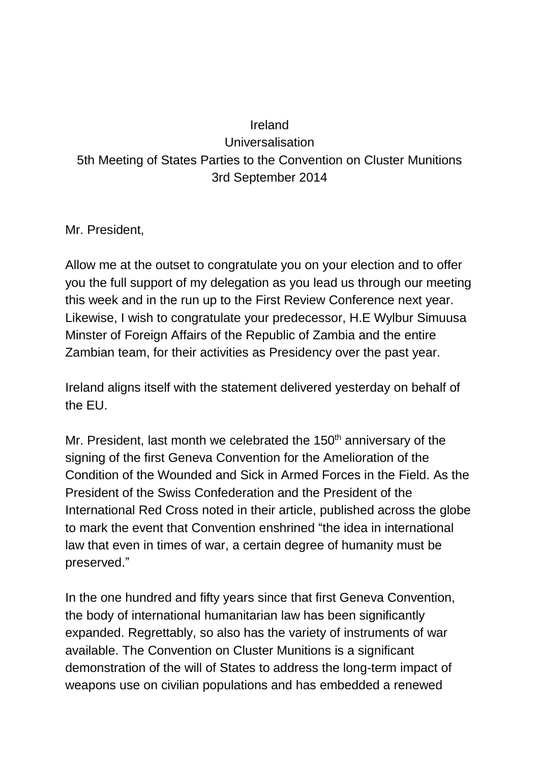## Ireland Universalisation 5th Meeting of States Parties to the Convention on Cluster Munitions 3rd September 2014

Mr. President,

Allow me at the outset to congratulate you on your election and to offer you the full support of my delegation as you lead us through our meeting this week and in the run up to the First Review Conference next year. Likewise, I wish to congratulate your predecessor, H.E Wylbur Simuusa Minster of Foreign Affairs of the Republic of Zambia and the entire Zambian team, for their activities as Presidency over the past year.

Ireland aligns itself with the statement delivered yesterday on behalf of the EU.

Mr. President, last month we celebrated the  $150<sup>th</sup>$  anniversary of the signing of the first Geneva Convention for the Amelioration of the Condition of the Wounded and Sick in Armed Forces in the Field. As the President of the Swiss Confederation and the President of the International Red Cross noted in their article, published across the globe to mark the event that Convention enshrined "the idea in international law that even in times of war, a certain degree of humanity must be preserved."

In the one hundred and fifty years since that first Geneva Convention, the body of international humanitarian law has been significantly expanded. Regrettably, so also has the variety of instruments of war available. The Convention on Cluster Munitions is a significant demonstration of the will of States to address the long-term impact of weapons use on civilian populations and has embedded a renewed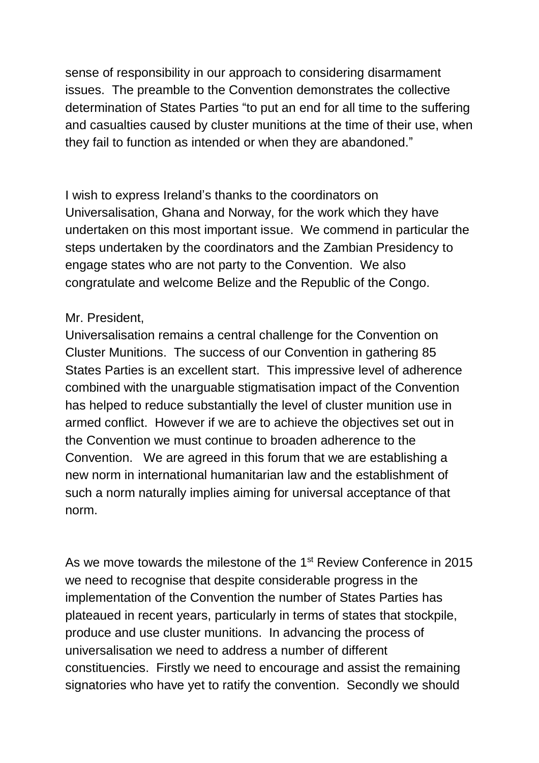sense of responsibility in our approach to considering disarmament issues. The preamble to the Convention demonstrates the collective determination of States Parties "to put an end for all time to the suffering and casualties caused by cluster munitions at the time of their use, when they fail to function as intended or when they are abandoned."

I wish to express Ireland's thanks to the coordinators on Universalisation, Ghana and Norway, for the work which they have undertaken on this most important issue. We commend in particular the steps undertaken by the coordinators and the Zambian Presidency to engage states who are not party to the Convention. We also congratulate and welcome Belize and the Republic of the Congo.

## Mr. President,

Universalisation remains a central challenge for the Convention on Cluster Munitions. The success of our Convention in gathering 85 States Parties is an excellent start. This impressive level of adherence combined with the unarguable stigmatisation impact of the Convention has helped to reduce substantially the level of cluster munition use in armed conflict. However if we are to achieve the objectives set out in the Convention we must continue to broaden adherence to the Convention. We are agreed in this forum that we are establishing a new norm in international humanitarian law and the establishment of such a norm naturally implies aiming for universal acceptance of that norm.

As we move towards the milestone of the 1<sup>st</sup> Review Conference in 2015 we need to recognise that despite considerable progress in the implementation of the Convention the number of States Parties has plateaued in recent years, particularly in terms of states that stockpile, produce and use cluster munitions. In advancing the process of universalisation we need to address a number of different constituencies. Firstly we need to encourage and assist the remaining signatories who have yet to ratify the convention. Secondly we should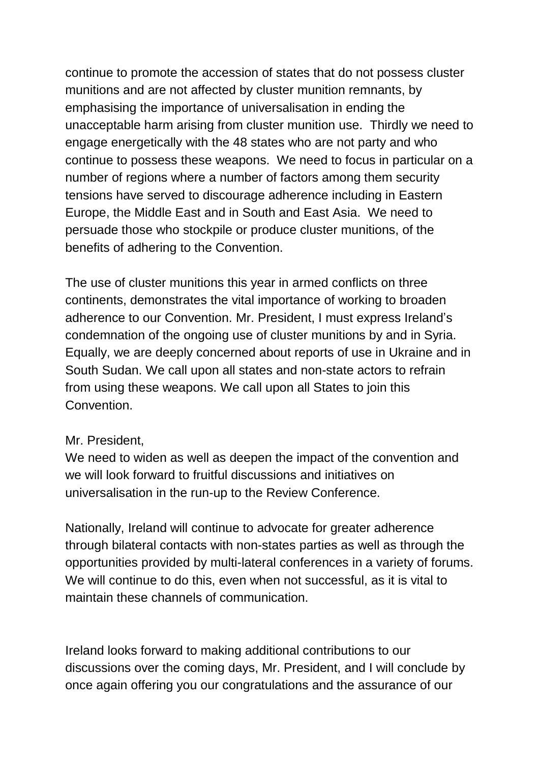continue to promote the accession of states that do not possess cluster munitions and are not affected by cluster munition remnants, by emphasising the importance of universalisation in ending the unacceptable harm arising from cluster munition use. Thirdly we need to engage energetically with the 48 states who are not party and who continue to possess these weapons. We need to focus in particular on a number of regions where a number of factors among them security tensions have served to discourage adherence including in Eastern Europe, the Middle East and in South and East Asia. We need to persuade those who stockpile or produce cluster munitions, of the benefits of adhering to the Convention.

The use of cluster munitions this year in armed conflicts on three continents, demonstrates the vital importance of working to broaden adherence to our Convention. Mr. President, I must express Ireland's condemnation of the ongoing use of cluster munitions by and in Syria. Equally, we are deeply concerned about reports of use in Ukraine and in South Sudan. We call upon all states and non-state actors to refrain from using these weapons. We call upon all States to join this Convention.

## Mr. President,

We need to widen as well as deepen the impact of the convention and we will look forward to fruitful discussions and initiatives on universalisation in the run-up to the Review Conference.

Nationally, Ireland will continue to advocate for greater adherence through bilateral contacts with non-states parties as well as through the opportunities provided by multi-lateral conferences in a variety of forums. We will continue to do this, even when not successful, as it is vital to maintain these channels of communication.

Ireland looks forward to making additional contributions to our discussions over the coming days, Mr. President, and I will conclude by once again offering you our congratulations and the assurance of our